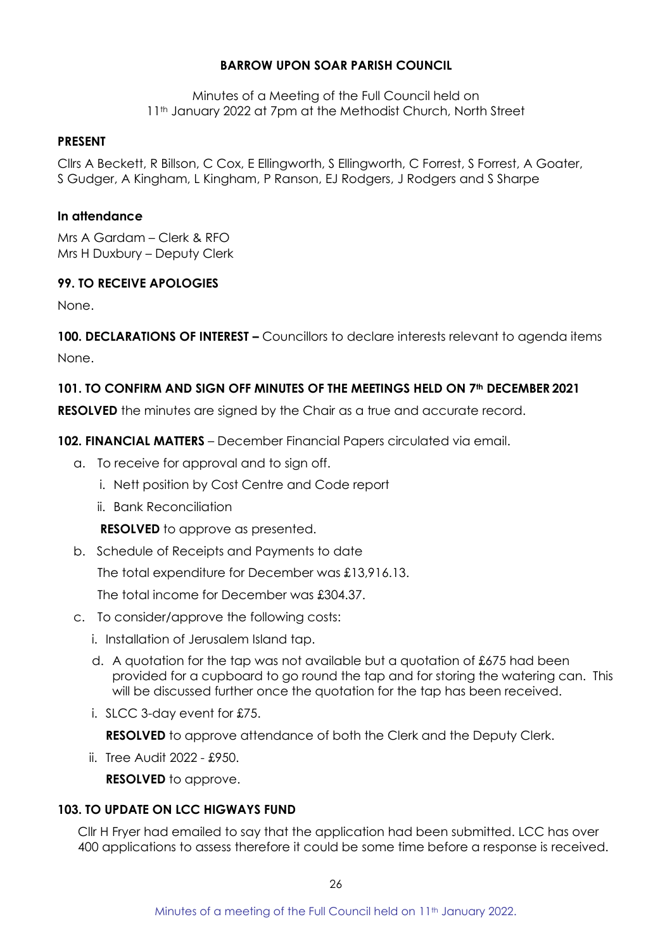# **BARROW UPON SOAR PARISH COUNCIL**

Minutes of a Meeting of the Full Council held on 11<sup>th</sup> January 2022 at 7pm at the Methodist Church, North Street

#### **PRESENT**

Cllrs A Beckett, R Billson, C Cox, E Ellingworth, S Ellingworth, C Forrest, S Forrest, A Goater, S Gudger, A Kingham, L Kingham, P Ranson, EJ Rodgers, J Rodgers and S Sharpe

#### **In attendance**

Mrs A Gardam – Clerk & RFO Mrs H Duxbury – Deputy Clerk

### **99. TO RECEIVE APOLOGIES**

None.

**100. DECLARATIONS OF INTEREST –** Councillors to declare interests relevant to agenda items None.

### **101. TO CONFIRM AND SIGN OFF MINUTES OF THE MEETINGS HELD ON 7th DECEMBER 2021**

**RESOLVED** the minutes are signed by the Chair as a true and accurate record.

**102. FINANCIAL MATTERS** – December Financial Papers circulated via email.

- a. To receive for approval and to sign off.
	- i. Nett position by Cost Centre and Code report
	- ii. Bank Reconciliation

**RESOLVED** to approve as presented.

b. Schedule of Receipts and Payments to date

The total expenditure for December was £13,916.13.

The total income for December was £304.37.

- c. To consider/approve the following costs:
	- i. Installation of Jerusalem Island tap.
	- d. A quotation for the tap was not available but a quotation of £675 had been provided for a cupboard to go round the tap and for storing the watering can. This will be discussed further once the quotation for the tap has been received.
	- i. SLCC 3-day event for £75.

**RESOLVED** to approve attendance of both the Clerk and the Deputy Clerk.

ii. Tree Audit 2022 - £950.

**RESOLVED** to approve.

# **103. TO UPDATE ON LCC HIGWAYS FUND**

Cllr H Fryer had emailed to say that the application had been submitted. LCC has over 400 applications to assess therefore it could be some time before a response is received.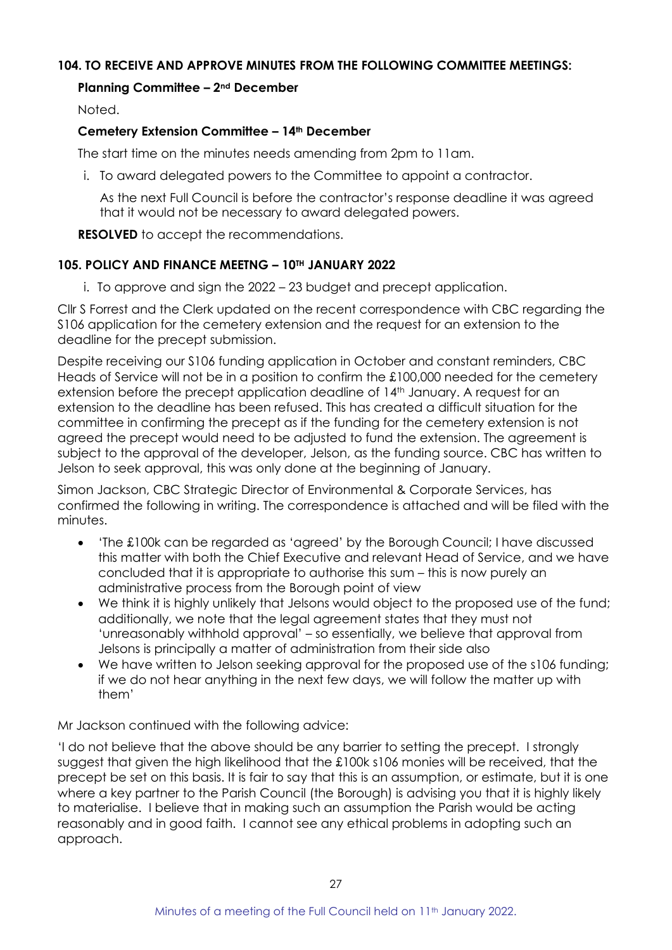# **104. TO RECEIVE AND APPROVE MINUTES FROM THE FOLLOWING COMMITTEE MEETINGS:**

# **Planning Committee – 2nd December**

Noted.

# **Cemetery Extension Committee – 14th December**

The start time on the minutes needs amending from 2pm to 11am.

i. To award delegated powers to the Committee to appoint a contractor.

As the next Full Council is before the contractor's response deadline it was agreed that it would not be necessary to award delegated powers.

**RESOLVED** to accept the recommendations.

# **105. POLICY AND FINANCE MEETNG – 10TH JANUARY 2022**

i. To approve and sign the 2022 – 23 budget and precept application.

Cllr S Forrest and the Clerk updated on the recent correspondence with CBC regarding the S106 application for the cemetery extension and the request for an extension to the deadline for the precept submission.

Despite receiving our S106 funding application in October and constant reminders, CBC Heads of Service will not be in a position to confirm the £100,000 needed for the cemetery extension before the precept application deadline of 14<sup>th</sup> January. A request for an extension to the deadline has been refused. This has created a difficult situation for the committee in confirming the precept as if the funding for the cemetery extension is not agreed the precept would need to be adjusted to fund the extension. The agreement is subject to the approval of the developer, Jelson, as the funding source. CBC has written to Jelson to seek approval, this was only done at the beginning of January.

Simon Jackson, CBC Strategic Director of Environmental & Corporate Services, has confirmed the following in writing. The correspondence is attached and will be filed with the minutes.

- 'The £100k can be regarded as 'agreed' by the Borough Council; I have discussed this matter with both the Chief Executive and relevant Head of Service, and we have concluded that it is appropriate to authorise this sum – this is now purely an administrative process from the Borough point of view
- We think it is highly unlikely that Jelsons would object to the proposed use of the fund; additionally, we note that the legal agreement states that they must not 'unreasonably withhold approval' – so essentially, we believe that approval from Jelsons is principally a matter of administration from their side also
- We have written to Jelson seeking approval for the proposed use of the s106 funding; if we do not hear anything in the next few days, we will follow the matter up with them'

Mr Jackson continued with the following advice:

'I do not believe that the above should be any barrier to setting the precept. I strongly suggest that given the high likelihood that the £100k s106 monies will be received, that the precept be set on this basis. It is fair to say that this is an assumption, or estimate, but it is one where a key partner to the Parish Council (the Borough) is advising you that it is highly likely to materialise. I believe that in making such an assumption the Parish would be acting reasonably and in good faith. I cannot see any ethical problems in adopting such an approach.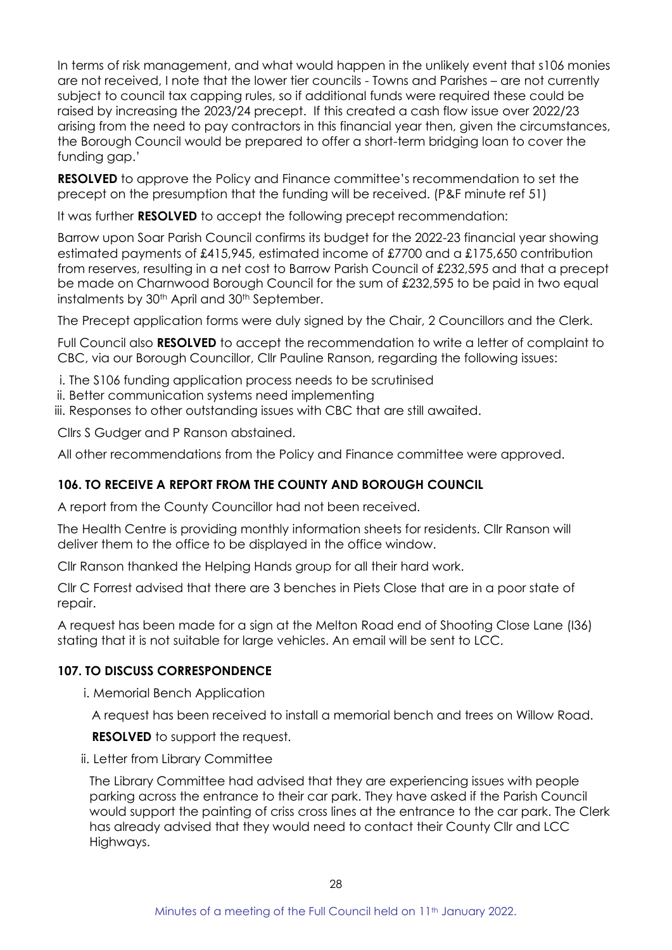In terms of risk management, and what would happen in the unlikely event that s106 monies are not received, I note that the lower tier councils - Towns and Parishes – are not currently subject to council tax capping rules, so if additional funds were required these could be raised by increasing the 2023/24 precept. If this created a cash flow issue over 2022/23 arising from the need to pay contractors in this financial year then, given the circumstances, the Borough Council would be prepared to offer a short-term bridging loan to cover the funding gap.'

**RESOLVED** to approve the Policy and Finance committee's recommendation to set the precept on the presumption that the funding will be received. (P&F minute ref 51)

It was further **RESOLVED** to accept the following precept recommendation:

Barrow upon Soar Parish Council confirms its budget for the 2022-23 financial year showing estimated payments of £415,945, estimated income of £7700 and a £175,650 contribution from reserves, resulting in a net cost to Barrow Parish Council of £232,595 and that a precept be made on Charnwood Borough Council for the sum of £232,595 to be paid in two equal instalments by 30<sup>th</sup> April and 30<sup>th</sup> September.

The Precept application forms were duly signed by the Chair, 2 Councillors and the Clerk.

Full Council also **RESOLVED** to accept the recommendation to write a letter of complaint to CBC, via our Borough Councillor, Cllr Pauline Ranson, regarding the following issues:

- i. The S106 funding application process needs to be scrutinised
- ii. Better communication systems need implementing
- iii. Responses to other outstanding issues with CBC that are still awaited.

Cllrs S Gudger and P Ranson abstained.

All other recommendations from the Policy and Finance committee were approved.

# **106. TO RECEIVE A REPORT FROM THE COUNTY AND BOROUGH COUNCIL**

A report from the County Councillor had not been received.

The Health Centre is providing monthly information sheets for residents. Cllr Ranson will deliver them to the office to be displayed in the office window.

Cllr Ranson thanked the Helping Hands group for all their hard work.

Cllr C Forrest advised that there are 3 benches in Piets Close that are in a poor state of repair.

A request has been made for a sign at the Melton Road end of Shooting Close Lane (I36) stating that it is not suitable for large vehicles. An email will be sent to LCC.

# **107. TO DISCUSS CORRESPONDENCE**

i. Memorial Bench Application

A request has been received to install a memorial bench and trees on Willow Road.

**RESOLVED** to support the request.

ii. Letter from Library Committee

The Library Committee had advised that they are experiencing issues with people parking across the entrance to their car park. They have asked if the Parish Council would support the painting of criss cross lines at the entrance to the car park. The Clerk has already advised that they would need to contact their County Cllr and LCC Highways.